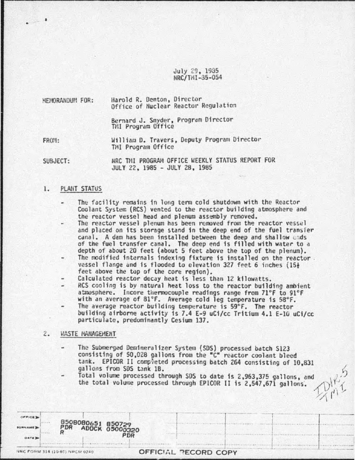# July 29, 1935 NRC/TMI-35-054

Harold R. Denton, Director MEMORANDUM FOR: Office of Nuclear Reactor Regulation

> Bernard J. Snyder, Program Director TMI Program Office

FROM:

William D. Travers, Deputy Program Director TMI Program Office

SUBJECT:

NRC THI PROGRAM OFFICE WEEKLY STATUS REPORT FOR JULY 22, 1985 - JULY 28, 1985

#### 1. PLANT STATUS

- The facility remains in long term cold shutdown with the Reactor Coolant System (RCS) vented to the reactor building atmosphere and the reactor vessel head and plenum assembly removed.
- The reactor vessel plenum has been removed from the reactor vessel and placed on its storage stand in the deep end of the fuel transfer canal. A dam has been installed between the deep and shallow ands of the fuel transfer canal. The deep end is filled with water to a depth of about 20 feet (about 5 feet above the top of the plenum).
- The modified internals indexing fixture is installed on the reactor. vessel flange and is flooded to elevation 327 feet 6 inches (15) feet above the top of the core region).
- Calculated reactor decay heat is less than 12 kilowatts.
- RCS cooling is by natural heat loss to the reactor building ambient atmosphere. Incore thermocouple readings range from 71°F to 91°F with an average of 81°F. Average cold leg temperature is 58°F.
- The average reactor building temperature is 59°F. The reactor building airborne activity is 7.4 E-9 uCi/cc Tritium 4.1 E-10 uCi/cc particulate, predominantly Cesium 137.

## *WASTE MANAGEMENT*  $2.$

- The Submerged Demineralizer System (SDS) processed batch S123 consisting of 50,028 gallons from the "C" reactor coolant bleed tank. EPICOR II completed processing batch 264 consisting of 10,831 gallons from SDS tank 1B.
- Total volume processed through SDS to date is 2,963,375 gallons, and the total volume processed through EPICOR II is 2,547,671 gallons.

| <b>BURNAME</b><br><b>UATE</b> | 8508080651 850729<br>PDR ADOCK 05000320 | <b>PDR</b> |                      |
|-------------------------------|-----------------------------------------|------------|----------------------|
|                               | NRC FORM 315 (10-80) NRCM 0240          |            | OFFICIAL PECORD COPY |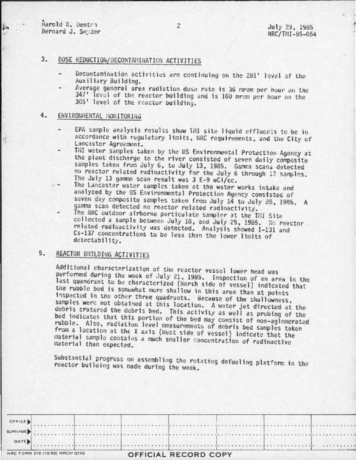勤

## $3 -$ DOSE REDUCTION/DECONTAVIINATION ACTIVITIES

- Decontamination activities are continuing on the 281' level of the Auxiliary Building.
- Average general area radiation dose rate is 36 mrem per hour on the 347' level of the reactor building and is 160 mram per hour on the 305' level of the reactor building.

## $4.$ ENVIRONMENTAL MONITORING

- EPA sample analysis results show TMI site liquid effluents to be in accordance with regulatory limits, NRC requirements, and the City of Lancaster Agreement.
- THI water samples taken by the US Environmental Protection Agency at the plant discharge to the river consisted of seven daily composite samples taken from July 6, to July 13, 1985. Gamma scans detected no reactor related radioactivity for the July 6 through 12 samples. The July 13 gamma scan result was 3 E-9 uCi/cc.
- The Lancaster water samples taken at the water works intake and analyzed by the US Environmental Protection Agency consisted of seven day composite samples taken from July 14 to July 28, 1985. A gamma scan detected no reactor related radioactivity.
- The NRC outdoor airborne particulate sampler at the TMI Site collected a sample between July 18, and July 25, 1985. No reactor related radioactivity was detected. Analysis showed I-131 and Cs-137 concentrations to be less than the lower limits of detectability.

# 5. REACTOR BUILDING ACTIVITIES

Additional characterization of the reactor vessel lower head was performed during the week of July 21, 1985. Inspection of an area in the last quandrant to be characterized (North side of vessel) indicated that the rubble bed is somewhat more shallow in this area than at points inspected in the other three quadrants. Because of the shallowness, samples were not obtained at this location. A water jet directed at the debris cratered the debris bed. This activity as well as probing of the bed indicates that this portion of the bed may consist of non-aglomerated rubble. Also, radiation level measurements of debris bed samples taken from a location at the X axis (West side of vessel) indicate that the material sample contains a much smaller concentration of radioactive material than expected.

Substantial progress on assembling the rotating defueling platform in the reactor building was made during the week.

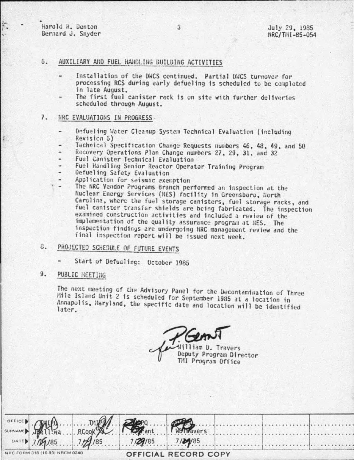Harold R. Denton Bernard J. Snyder

#### $6.$ AUXILIARY AND FUEL HANDLING BUILDING ACTIVITIES

- Installation of the DWCS continued. Partial DWCS turnover for processing RCS during early defueling is scheduled to be completed in late August.
- The first fuel canister rack is on site with further deliveries scheduled through August.

## 7. NRC EVALUATIONS IN PROGRESS

- Defueling Water Cleanup System Technical Evaluation (including Revision 6)
- Technical Specification Change Requests numbers 46, 48, 49, and 50
- Recovery Operations Plan Change numbers 27, 29, 31, and 32
- Fuel Canister Technical Evaluation
- Fuel Handling Senior Reactor Operator Training Program
- Defueling Safety Evaluation
- Application for seismic exemption
- The NRC Vendor Programs Branch performed an inspection at the Nuclear Energy Services (NES) facility in Greensboro, North Carolina, where the fuel storage canisters, fuel storage racks, and fuel canister transfer shields are being fabricated. The inspection examined construction activities and included a review of the implementation of the quality assurance program at NES. The inspection findings are undergoing NRC management review and the final inspection report will be issued next week.

# PROJECTED SCHEDULE OF FUTURE EVENTS 8.

Start of Defueling: October 1985

## 9. PUBLIC NEETING

The next meeting of the Advisory Panel for the Decontamination of Three Mile Island Unit 2 is scheduled for September 1985 at a location in Annapolis, Maryland, the specific date and location will be identified later.

Gems William D. Travers Deputy Program Director TMI Program Office

|                                |  |                             | SUIT RECOOL PO ant Report Provers       |  |
|--------------------------------|--|-----------------------------|-----------------------------------------|--|
|                                |  |                             |                                         |  |
|                                |  |                             | $DATE$ 7.05. 7.29.185 7.29.185 7.29.185 |  |
| NRC FORM 318 (10 80) NRCM 0240 |  | <b>OFFICIAL RECORD COPY</b> |                                         |  |